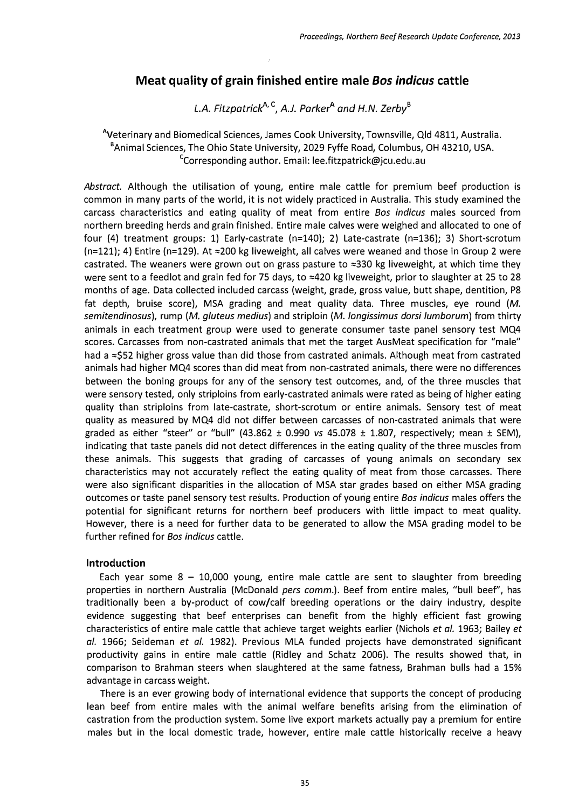# Meat quality of grain finished entire male 80S indicus cattle

L.A. Fitzpatrick<sup>A, C</sup>, A.J. Parker<sup>A</sup> and H.N. Zerby<sup>B</sup>

<sup>A</sup>Veterinary and Biomedical Sciences, James Cook University, Townsville, Qld 4811, Australia. 'Animal Sciences, The Ohio State University, 2029 Fyffe Road, Columbus, OH 43210, USA. <sup>c</sup>Corresponding author. Email: lee.fitzpatrick@jcu.edu.au

Abstract. Although the utilisation of young, entire male cattle for premium beef production is common in many parts of the world, it is not widely practiced in Australia. This study examined the carcass characteristics and eating quality of meat from entire *Bos indicus* males sourced from northern breeding herds and grain finished. Entire male calves were weighed and allocated to one of four (4) treatment groups: 1) Early-castrate (n=140); 2) Late-castrate (n=136); 3) Short-scrotum  $(n=121)$ ; 4) Entire (n=129). At  $\approx$  200 kg liveweight, all calves were weaned and those in Group 2 were castrated. The weaners were grown out on grass pasture to  $\approx 330$  kg liveweight, at which time they were sent to a feedlot and grain fed for 75 days, to  $\approx$ 420 kg liveweight, prior to slaughter at 25 to 28 months of age. Data collected included carcass (weight, grade, gross value, butt shape, dentition, P8 fat depth, bruise score), MSA grading and meat quality data. Three muscles, eye round (M. semitendinosus), rump (M. gluteus medius) and striploin (M. longissimus dorsi lumborum) from thirty animals in each treatment group were used to generate consumer taste panel sensory test MQ4 scores. Carcasses from non-castrated animals that met the target AusMeat specification for "male" had a  $\approx$ \$52 higher gross value than did those from castrated animals. Although meat from castrated animals had higher MQ4 scores than did meat from non-castrated animals, there were no differences between the boning groups for any of the sensory test outcomes, and, of the three muscles that were sensory tested, only striploins from early-castrated animals were rated as being of higher eating quality than striploins from late-castrate, short-scrotum or entire animals. Sensory test of meat quality as measured by MQ4 did not differ between carcasses of non-castrated animals that were graded as either "steer" or "bull" (43.862  $\pm$  0.990 vs 45.078  $\pm$  1.807, respectively; mean  $\pm$  SEM), indicating that taste panels did not detect differences in the eating quality of the three muscles from these animals. This suggests that grading of carcasses of young animals on secondary sex characteristics may not accurately reflect the eating quality of meat from those carcasses. There were also significant disparities in the allocation of MSA star grades based on either MSA grading outcomes or taste panel sensory test results. Production of young entire *Bos indicus* males offers the potential for significant returns for northern beef producers with little impact to meat quality. However, there is a need for further data to be generated to allow the MSA grading model to be further refined for Bos indicus cattle.

# Introduction

Each year some  $8 - 10,000$  young, entire male cattle are sent to slaughter from breeding properties in northern Australia (McDonald pers comm.). Beef from entire males, "bull beef', has traditionally been a by-product of cow/calf breeding operations or the dairy industry, despite evidence suggesting that beef enterprises can benefit from the highly efficient fast growing characteristics of entire male cattle that achieve target weights earlier (Nichols et al. 1963; Bailey et al. 1966; Seideman et al. 1982). Previous MLA funded projects have demonstrated significant productivity gains in entire male cattle (Ridley and Schatz 2006). The results showed that, in comparison to Brahman steers when slaughtered at the same fatness, Brahman bulls had a 15% advantage in carcass weight.

There is an ever growing body of international evidence that supports the concept of producing lean beef from entire males with the animal welfare benefits arising from the elimination of castration from the production system. Some live export markets actually pay a premium for entire males but in the local domestic trade, however, entire male cattle historically receive a heavy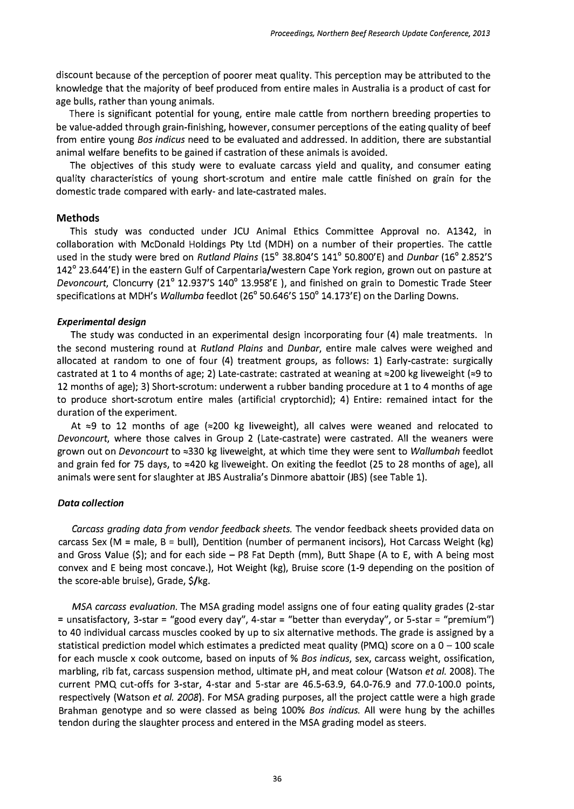discount because of the perception of poorer meat quality. This perception may be attributed to the knowledge that the majority of beef produced from entire males in Australia is a product of cast for age bulls, rather than young animals.

There is significant potential for young, entire male cattle from northern breeding properties to be value-added through grain-finishing, however, consumer perceptions of the eating quality of beef from entire young Bos indicus need to be evaluated and addressed. In addition, there are substantial animal welfare benefits to be gained if castration of these animals is avoided.

The objectives of this study were to evaluate carcass yield and quality, and consumer eating quality characteristics of young short-scrotum and entire male cattle finished on grain for the domestic trade compared with early- and late-castrated males.

# **Methods**

This study was conducted under JCU Animal Ethics Committee Approval no. A1342, in collaboration with McDonald Holdings Pty Ltd (MDH) on a number of their properties. The cattle used in the study were bred on Rutland Plains (15° 38.804'S 141° 50.800'E) and Dunbar (16° 2.852'S 142' 23.644'E) in the eastern Gulf of Carpentaria/western Cape York region, grown out on pasture at Devoncourt, Cloncurry (21° 12.937'S 140° 13.958'E), and finished on grain to Domestic Trade Steer specifications at MDH's Wallumba feedlot (26° 50.646'S 150° 14.173'E) on the Darling Downs.

# Experimental design

The study was conducted in an experimental design incorporating four (4) male treatments. In the second mustering round at Rutland Plains and Dunbar, entire male calves were weighed and allocated at random to one of four (4) treatment groups, as follows: 1) Early-castrate: surgically castrated at 1 to 4 months of age; 2) Late-castrate: castrated at weaning at  $\approx$  200 kg liveweight ( $\approx$ 9 to 12 months of age); 3) Short-scrotum: underwent a rubber banding procedure at 1 to 4 months of age to produce short-scrotum entire males (artificial cryptorchid); 4) Entire: remained intact for the duration of the experiment.

At  $\approx$ 9 to 12 months of age ( $\approx$ 200 kg liveweight), all calves were weaned and relocated to Devoncourt, where those calves in Group 2 (Late-castrate) were castrated. All the weaners were grown out on Devoncourt to  $\approx$ 330 kg liveweight, at which time they were sent to Wallumbah feedlot and grain fed for 75 days, to  $\approx$  420 kg liveweight. On exiting the feedlot (25 to 28 months of age), all animals were sent for slaughter at JBS Australia's Dinmore abattoir (JBS) (see Table 1).

## Data collection

Carcass grading data from vendor feedback sheets. The vendor feedback sheets provided data on carcass Sex (M = male, B = bull), Dentition (number of permanent incisors), Hot Carcass Weight (kg) and Gross Value  $(\xi)$ ; and for each side  $-$  P8 Fat Depth (mm), Butt Shape (A to E, with A being most convex and E being most concave.), Hot Weight (kg), Bruise score (1-9 depending on the position of the score-able bruise), Grade, \$/kg.

MSA carcass evaluation. The MSA grading model assigns one of four eating quality grades (2-star <sup>=</sup>unsatisfactory, 3-star = "good every day", 4-star = "better than everyday", or S-star = "premium") to 40 individual carcass muscles cooked by up to six alternative methods. The grade is assigned by a statistical prediction model which estimates a predicted meat quality (PMQ) score on a  $0 - 100$  scale for each muscle x cook outcome, based on inputs of % Bos indicus, sex, carcass weight, ossification, marbling, rib fat, carcass suspension method, ultimate pH, and meat colour (Watson et al. 2008). The current PMQ cut-offs for 3-star, 4-star and S-star are 46.5-63.9, 64.0-76.9 and 77.0-100.0 points, respectively (Watson et al. 2008). For MSA grading purposes, all the project cattle were a high grade Brahman genotype and so were classed as being 100% Bos indicus. All were hung by the achilles tendon during the slaughter process and entered in the MSA grading model as steers.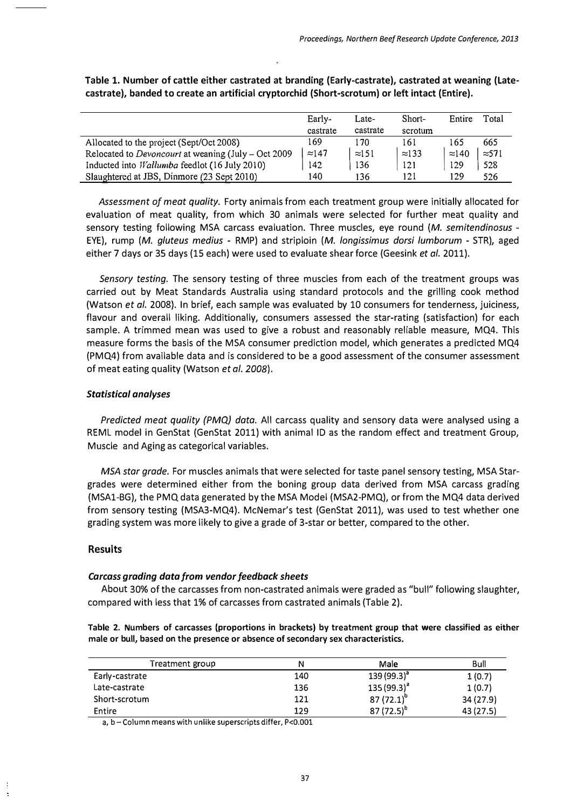|                                                             | Early-        | Late-         | Short-        | Entire        | Total         |
|-------------------------------------------------------------|---------------|---------------|---------------|---------------|---------------|
|                                                             | castrate      | castrate      | scrotum       |               |               |
| Allocated to the project (Sept/Oct 2008)                    | 169           | 170           | 161           | 165           | 665           |
| Relocated to <i>Devoncourt</i> at weaning (July – Oct 2009) | $\approx$ 147 | $\approx 151$ | $\approx$ 133 | $\approx$ 140 | $\approx$ 571 |
| Inducted into <i>Wallumba</i> feedlot (16 July 2010)        | 142           | 136           | 121           | 129           | 528           |
| Slaughtered at JBS, Dinmore (23 Sept 2010)                  | 140           | 136           | 121           | 129           | 526           |

# Table 1. Number of cattle either castrated at branding (Early-castrate), castrated at weaning (Latecastrate), banded to create an artificial cryptorchid (Short-scrotum) or left intact (Entire).

Assessment of meat quality. Forty animals from each treatment group were initially allocated for evaluation of meat quality, from which 30 animals were selected for further meat quality and sensory testing following MSA carcass evaluation. Three muscles, eye round (M. semitendinosus - EYE), rump (M. gluteus medius - RMP) and striploin (M. longissimus dorsi lumborum - STR), aged either 7 days or 35 days (15 each) were used to evaluate shear force (Geesink et al. 2011).

Sensory testing. The sensory testing of three muscles from each of the treatment groups was carried out by Meat Standards Australia using standard protocols and the grilling cook method (Watson et al. 2008). In brief, each sample was evaluated by 10 consumers for tenderness, juiciness, flavour and overall liking. Additionally, consumers assessed the star-rating (satisfaction) for each sample. A trimmed mean was used to give a robust and reasonably reliable measure, MQ4. This measure forms the basis of the MSA consumer prediction model, which generates a predicted MQ4 (PMQ4) from available data and is considered to be a good assessment of the consumer assessment of meat eating quality (Watson *et al. 2008*).

## Statistical analyses

Predicted meat quality (PMQ) data. All carcass quality and sensory data were analysed using a REML model in GenStat (GenStat 2011) with animal ID as the random effect and treatment Group, Muscle and Aging as categorical variables.

MSA star grade. For muscles animals that were selected for taste panel sensory testing, MSA Stargrades were determined either from the boning group data derived from MSA carcass grading (MSA1-BG), the PMQ data generated by the MSA Model (MSA2-PMQ), or from the MQ4 data derived from sensory testing (MSA3-MQ4). McNemar's test (GenStat 2011), was used to test whether one grading system was more likely to give a grade of 3-star or better, compared to the other.

# Results

## Carcass grading data from vendor feedback sheets

About 30% of the carcasses from non-castrated animals were graded as "bull" following slaughter, compared with less that 1% of carcasses from castrated animals (Table 2).

|  |  |  | Table 2. Numbers of carcasses (proportions in brackets) by treatment group that were classified as either |  |  |
|--|--|--|-----------------------------------------------------------------------------------------------------------|--|--|
|  |  |  | male or bull, based on the presence or absence of secondary sex characteristics.                          |  |  |

| Treatment group | N   | Male            | Bull      |
|-----------------|-----|-----------------|-----------|
| Early-castrate  | 140 | $139(99.3)^{a}$ | 1(0.7)    |
| Late-castrate   | 136 | $135(99.3)^{3}$ | 1(0.7)    |
| Short-scrotum   | 121 | $87(72.1)^{6}$  | 34 (27.9) |
| Entire          | 129 | $87(72.5)^b$    | 43 (27.5) |

a, b - Column means with unlike superscripts differ, P<0.001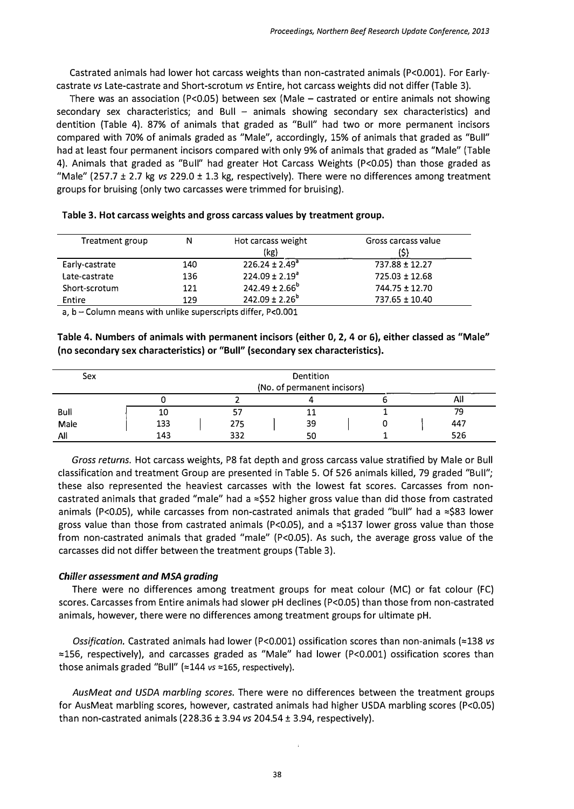Castrated animals had lower hot carcass weights than non-castrated animals (P<O.OOl). For Earlycastrate vs Late-castrate and Short-scrotum vs Entire, hot carcass weights did not differ (Table 3).

There was an association (P<0.05) between sex (Male  $-$  castrated or entire animals not showing secondary sex characteristics; and Bull  $-$  animals showing secondary sex characteristics) and dentition (Table 4). 87% of animals that graded as "Bull" had two or more permanent incisors compared with 70% of animals graded as "Male", accordingly, 15% of animals that graded as "Bull" had at least four permanent incisors compared with only 9% of animals that graded as "Male" (Table 4). Animals that graded as "Bull" had greater Hot Carcass Weights (P<0.05) than those graded as "Male" (257.7  $\pm$  2.7 kg vs 229.0  $\pm$  1.3 kg, respectively). There were no differences among treatment groups for bruising (only two carcasses were trimmed for bruising).

| Treatment group | N   | Hot carcass weight<br>(kg) | Gross carcass value |
|-----------------|-----|----------------------------|---------------------|
| Early-castrate  | 140 | $226.24 \pm 2.49^a$        | 737.88 ± 12.27      |
| Late-castrate   | 136 | $224.09 \pm 2.19^{\circ}$  | $725.03 \pm 12.68$  |
| Short-scrotum   | 121 | $242.49 \pm 2.66^b$        | 744.75 ± 12.70      |
| Entire          | 129 | $242.09 \pm 2.26^b$        | 737.65 ± 10.40      |

|  |  |  |  |  |  |  |  |  |  | Table 3. Hot carcass weights and gross carcass values by treatment group. |  |
|--|--|--|--|--|--|--|--|--|--|---------------------------------------------------------------------------|--|
|--|--|--|--|--|--|--|--|--|--|---------------------------------------------------------------------------|--|

a,  $b -$  Column means with unlike superscripts differ, P<0.001

Table 4. Numbers of animals with permanent incisors (either 0, 2, 4 or 6), either classed as "Male" (no secondary sex characteristics) or "Bull" (secondary sex characteristics).

| Sex  |     |     | <b>Dentition</b><br>(No. of permanent incisors) |     |
|------|-----|-----|-------------------------------------------------|-----|
|      |     |     |                                                 | All |
| Bull | 10  |     |                                                 | 79  |
| Male | 133 | 275 | 39                                              | 447 |
| All  | 143 | 332 |                                                 | 526 |

Gross returns. Hot carcass weights, P8 fat depth and gross carcass value stratified by Male or Bull classification and treatment Group are presented in Table 5. Of 526 animals killed, 79 graded "Bull"; these also represented the heaviest carcasses with the lowest fat scores. Carcasses from noncastrated animals that graded "male" had a  $\approx$ \$52 higher gross value than did those from castrated animals (P<0.05), while carcasses from non-castrated animals that graded "bull" had a  $\approx$ \$83 lower gross value than those from castrated animals (P<0.05), and a  $\approx$ \$137 lower gross value than those from non-castrated animals that graded "male" (P<0.05). As such, the average gross value of the carcasses did not differ between the treatment groups (Table 3).

# Chiller assessment and MSA grading

There were no differences among treatment groups for meat colour (MC) or fat colour (FC) scores. Carcasses from Entire animals had slower pH declines (P<0.05) than those from non-castrated animals, however, there were no differences among treatment groups for ultimate pH.

Ossification. Castrated animals had lower (P<0.001) ossification scores than non-animals ( $\approx$ 138 vs  $\approx$ 156, respectively), and carcasses graded as "Male" had lower (P<0.001) ossification scores than those animals graded "Bull" ( $\approx$ 144 vs  $\approx$ 165, respectively).

AusMeat and USDA marbling scores. There were no differences between the treatment groups for AusMeat marbling scores, however, castrated animals had higher USDA marbling scores (P<0.05) than non-castrated animals (228.36  $\pm$  3.94 vs 204.54  $\pm$  3.94, respectively).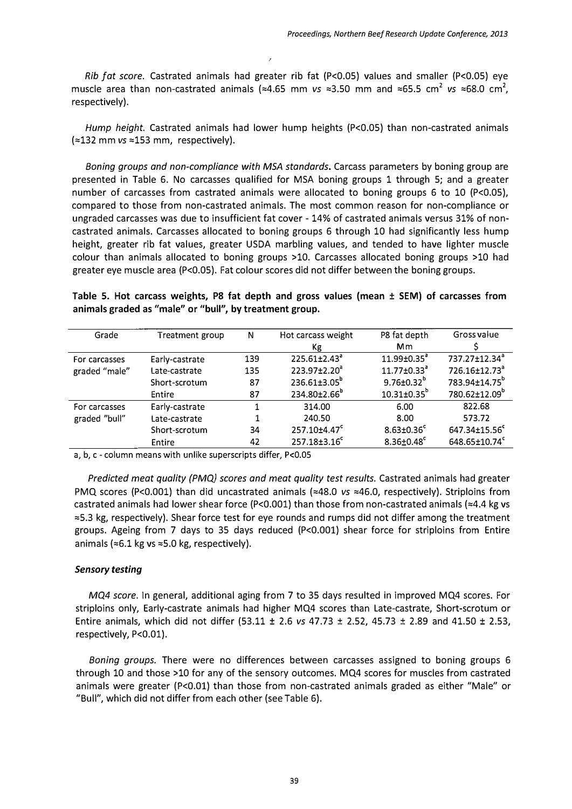Rib fat score. Castrated animals had greater rib fat (P<0.05) values and smaller (P<0.05) eye muscle area than non-castrated animals ( $\approx 4.65$  mm vs  $\approx 3.50$  mm and  $\approx 65.5$  cm<sup>2</sup> vs  $\approx 68.0$  cm<sup>2</sup>, respectively).

Hump height. Castrated animals had lower hump heights (P<0.05) than non-castrated animals  $\approx$  132 mm vs  $\approx$  153 mm, respectively).

Boning groups and non-compliance with MSA standards. Carcass parameters by boning group are presented in Table 6. No carcasses qualified for MSA boning groups 1 through 5; and a greater number of carcasses from castrated animals were allocated to boning groups 6 to 10 (P<0.05), compared to those from non-castrated animals. The most common reason for non-compliance or ungraded carcasses was due to insufficient fat cover - 14% of castrated animals versus 31% of noncastrated animals. Carcasses allocated to boning groups 6 through 10 had significantly less hump height, greater rib fat values, greater USDA marbling values, and tended to have lighter muscle colour than animals allocated to boning groups >10. Carcasses allocated boning groups >10 had greater eye muscle area (P<0.05). Fat colour scores did not differ between the boning groups.

Table 5. Hot carcass weights, P8 fat depth and gross values (mean ± SEM) of carcasses from animals graded as "male" or "bull", by treatment group.

| Grade         | Treatment group | N   | Hot carcass weight             | P8 fat depth                  | Gross value               |
|---------------|-----------------|-----|--------------------------------|-------------------------------|---------------------------|
|               |                 |     | Кg                             | Mm                            |                           |
| For carcasses | Early-castrate  | 139 | $225.61 \pm 2.43$ <sup>a</sup> | $11.99 \pm 0.35$ <sup>a</sup> | 737.27±12.34 <sup>a</sup> |
| graded "male" | Late-castrate   | 135 | 223.97±2.20 <sup>ª</sup>       | $11.77 \pm 0.33$ <sup>a</sup> | 726.16±12.73 <sup>ª</sup> |
|               | Short-scrotum   | 87  | $236.61 \pm 3.05$ <sup>b</sup> | $9.76 \pm 0.32^b$             | 783.94±14.75 <sup>b</sup> |
|               | Entire          | 87  | 234.80±2.66 <sup>b</sup>       | $10.31 \pm 0.35^{\circ}$      | 780.62±12.09 <sup>b</sup> |
| For carcasses | Early-castrate  |     | 314.00                         | 6.00                          | 822.68                    |
| graded "bull" | Late-castrate   | 1   | 240.50                         | 8.00                          | 573.72                    |
|               | Short-scrotum   | 34  | 257.10±4.47 <sup>c</sup>       | $8.63 \pm 0.36$ <sup>c</sup>  | 647.34±15.56 <sup>c</sup> |
|               | Entire          | 42  | 257.18±3.16 <sup>c</sup>       | $8.36 \pm 0.48$               | 648.65±10.74 <sup>c</sup> |

a, b, c - column means with unlike superscripts differ, P<0.05

Predicted meat quality (PMQ) scores and meat quality test results. Castrated animals had greater PMQ scores (P<0.001) than did uncastrated animals ( $\approx$ 48.0 vs  $\approx$ 46.0, respectively). Striploins from castrated animals had lower shear force (P<0.001) than those from non-castrated animals ( $\approx$ 4.4 kg vs  $\approx$  5.3 kg, respectively). Shear force test for eye rounds and rumps did not differ among the treatment groups. Ageing from 7 days to 35 days reduced (P<O.OOl) shear force for striploins from Entire animals ( $\approx$ 6.1 kg vs  $\approx$ 5.0 kg, respectively).

# Sensory testing

MQ4 score. In general, additional aging from 7 to 35 days resulted in improved MQ4 scores. For striploins only, Early-castrate animals had higher MQ4 scores than Late-castrate, Short-scrotum or Entire animals, which did not differ  $(53.11 \pm 2.6 \text{ vs } 47.73 \pm 2.52, 45.73 \pm 2.89 \text{ and } 41.50 \pm 2.53,$ respectively, P<0.01).

Boning groups. There were no differences between carcasses assigned to boning groups 6 through 10 and those >10 for any of the sensory outcomes. MQ4 scores for muscles from castrated animals were greater (P<O.Ol) than those from non-castrated animals graded as either "Male" or "Bull", which did not differ from each other (see Table 6).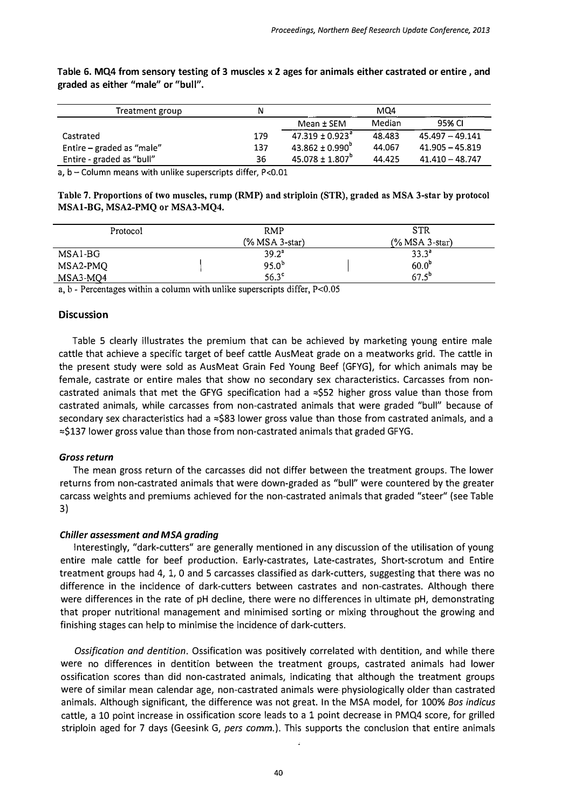| Treatment group           | N   |                                 | MQ4    |                   |
|---------------------------|-----|---------------------------------|--------|-------------------|
|                           |     | Mean $\pm$ SEM                  | Median | 95% CI            |
| Castrated                 | 179 | $47.319 \pm 0.923$ <sup>a</sup> | 48.483 | $45.497 - 49.141$ |
| Entire – graded as "male" | 137 | $43.862 \pm 0.990^{\circ}$      | 44.067 | $41.905 - 45.819$ |
| Entire - graded as "bull" | 36  | $45.078 \pm 1.807^{\circ}$      | 44.425 | $41.410 - 48.747$ |

Table 6. MQ4 from sensory testing of 3 muscles x 2 ages for animals either castrated or entire, and graded as either "male" or "bull".

a, b - Column means with unlike superscripts differ, P<0.01

| Table 7. Proportions of two muscles, rump (RMP) and striploin (STR), graded as MSA 3-star by protocol |  |
|-------------------------------------------------------------------------------------------------------|--|
| MSA1-BG, MSA2-PMQ or MSA3-MQ4.                                                                        |  |

| Protocol | <b>RMP</b><br>$(%$ MSA 3-star) | <b>STR</b><br>$(\%$ MSA 3-star) |
|----------|--------------------------------|---------------------------------|
| MSA1-BG  | 39.2 <sup>a</sup>              | $33.3^{a}$                      |
| MSA2-PMQ | $95.0^{b}$                     | 60.0 <sup>b</sup>               |
| MSA3-MQ4 | $56.3^{\circ}$                 | 67.5 <sup>b</sup>               |

a, b - Percentages within a column with unlike superscripts differ, P<0.05

# **Discussion**

Table 5 clearly illustrates the premium that can be achieved by marketing young entire male cattle that achieve a specific target of beef cattle AusMeat grade on a meatworks grid. The cattle in the present study were sold as AusMeat Grain Fed Young Beef (GFYG), for which animals may be female, castrate or entire males that show no secondary sex characteristics. Carcasses from noncastrated animals that met the GFYG specification had a  $\approx$ \$52 higher gross value than those from castrated animals, while carcasses from non-castrated animals that were graded "bull" because of secondary sex characteristics had a  $\approx$ \$83 lower gross value than those from castrated animals, and a  $\approx$ \$137 lower gross value than those from non-castrated animals that graded GFYG.

## Gross return

The mean gross return of the carcasses did not differ between the treatment groups. The lower returns from non-castrated animals that were down-graded as "bull" were countered by the greater carcass weights and premiums achieved for the non-castrated animals that graded "steer" (see Table 3)

## Chiller assessment and MSA grading

Interestingly, "dark-cutters" are generally mentioned in any discussion of the utilisation of young entire male cattle for beef production. Early-castrates, Late-castrates, Short-scrotum and Entire treatment groups had 4, 1,0 and 5 carcasses classified as dark-cutters, suggesting that there was no difference in the incidence of dark-cutters between castrates and non-castrates. Although there were differences in the rate of pH decline, there were no differences in ultimate pH, demonstrating that proper nutritional management and minimised sorting or mixing throughout the growing and finishing stages can help to minimise the incidence of dark-cutters.

Ossification and dentition. Ossification was positively correlated with dentition, and while there were no differences in dentition between the treatment groups, castrated animals had lower ossification scores than did non-castrated animals, indicating that although the treatment groups were of similar mean calendar age, non-castrated animals were· physiologically older than castrated animals. Although significant, the difference was not great. In the MSA model, for 100% Bos indicus cattle, a 10 point increase in ossification score leads to a 1 point decrease in PMQ4 score, for grilled striploin aged for 7 days (Geesink G, pers comm.). This supports the conclusion that entire animals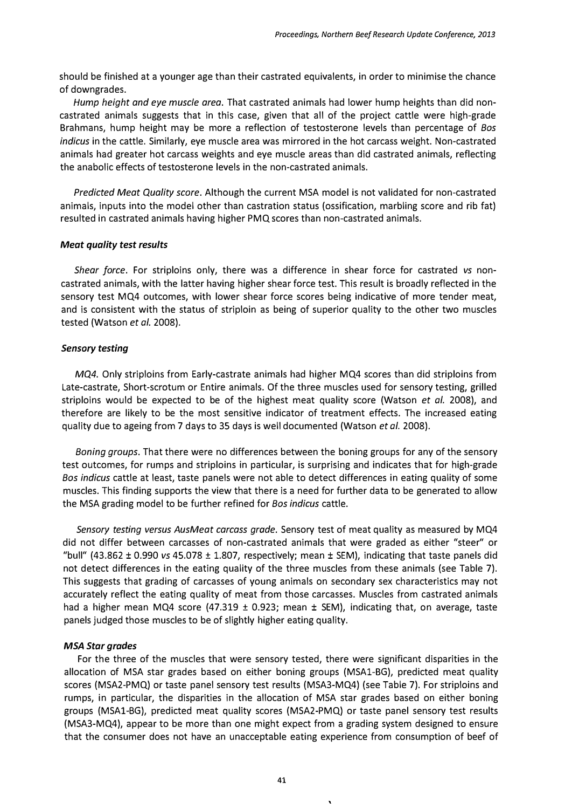should be finished at a younger age than their castrated equivalents, in order to minimise the chance of downgrades.

Hump height and eye muscle area. That castrated animals had lower hump heights than did noncastrated animals suggests that in this case, given that all of the project cattle were high-grade Brahmans, hump height may be more a reflection of testosterone levels than percentage of Bos indicus in the cattle. Similarly, eye muscle area was mirrored in the hot carcass weight. Non-castrated animals had greater hot carcass weights and eye muscle areas than did castrated animals, reflecting the anabolic effects of testosterone levels in the non-castrated animals.

Predicted Meat Quality score. Although the current MSA model is not validated for non-castrated animals, inputs into the model other than castration status (ossification, marbling score and rib fat) resulted in castrated animals having higher PMQ scores than non-castrated animals.

#### Meat quality test results

Shear force. For striploins only, there was a difference in shear force for castrated vs noncastrated animals, with the latter having higher shear force test. This result is broadly reflected in the sensory test MQ4 outcomes, with lower shear force scores being indicative of more tender meat, and is consistent with the status of striploin as being of superior quality to the other two muscles tested (Watson et al. 2008).

#### Sensory testing

MQ4. Only striploins from Early-castrate animals had higher MQ4 scores than did striploins from Late-castrate, Short-scrotum or Entire animals. Of the three muscles used for sensory testing, grilled striploins would be expected to be of the highest meat quality score (Watson et al. 2008), and therefore are likely to be the most sensitive indicator of treatment effects. The increased eating quality due to ageing from 7 days to 35 days is well documented (Watson et al. 2008).

Boning groups. That there were no differences between the boning groups for any of the sensory test outcomes, for rumps and striploins in particular, is surprising and indicates that for high-grade Bos indicus cattle at least, taste panels were not able to detect differences in eating quality of some muscles. This finding supports the view that there is a need for further data to be generated to allow the MSA grading model to be further refined for Bos indicus cattle.

Sensory testing versus AusMeat carcass grade. Sensory test of meat quality as measured by MQ4 did not differ between carcasses of non-castrated animals that were graded as either "steer" or "bull"  $(43.862 \pm 0.990 \text{ vs } 45.078 \pm 1.807)$ , respectively; mean  $\pm$  SEM), indicating that taste panels did not detect differences in the eating quality of the three muscles from these animals (see Table 7). This suggests that grading of carcasses of young animals on secondary sex characteristics may not accurately reflect the eating quality of meat from those carcasses. Muscles from castrated animals had a higher mean MQ4 score (47.319  $\pm$  0.923; mean  $\pm$  SEM), indicating that, on average, taste panels judged those muscles to be of slightly higher eating quality.

#### MSA Star grades

For the three of the muscles that were sensory tested, there were significant disparities in the allocation of MSA star grades based on either boning groups (MSA1-BG), predicted meat quality scores (MSA2-PMQ) or taste panel sensory test results (MSA3-MQ4) (see Table 7). For striploins and rumps, in particular, the disparities in the allocation of MSA star grades based on either boning groups (MSA1-BG), predicted meat quality scores (MSA2-PMQ) or taste panel sensory test results (MSA3-MQ4), appear to be more than one might expect from a grading system designed to ensure that the consumer does not have an unacceptable eating experience from consumption of beef of

 $\mathbf{A}$